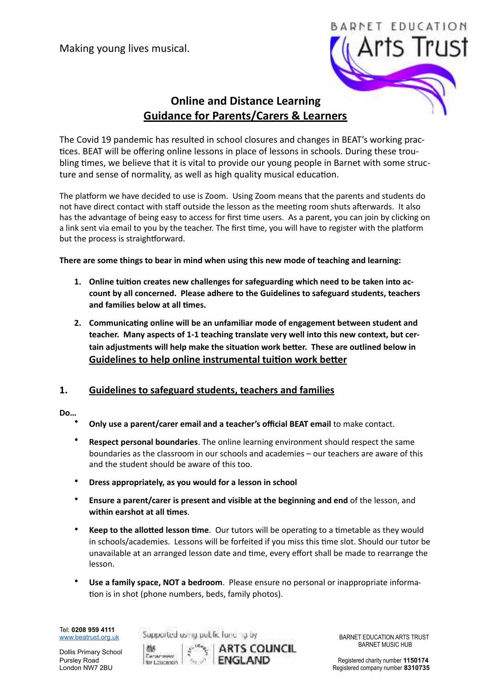

# **Online and Distance Learning Guidance for Parents/Carers & Learners**

The Covid 19 pandemic has resulted in school closures and changes in BEAT's working practices. BEAT will be offering online lessons in place of lessons in schools. During these troubling times, we believe that it is vital to provide our young people in Barnet with some structure and sense of normality, as well as high quality musical education.

The platform we have decided to use is Zoom. Using Zoom means that the parents and students do not have direct contact with staff outside the lesson as the meeting room shuts afterwards. It also has the advantage of being easy to access for first time users. As a parent, you can join by clicking on a link sent via email to you by the teacher. The first time, you will have to register with the platform but the process is straightforward.

There are some things to bear in mind when using this new mode of teaching and learning:

- 1. Online tuition creates new challenges for safeguarding which need to be taken into account by all concerned. Please adhere to the Guidelines to safeguard students, teachers and families below at all times.
- 2. Communicating online will be an unfamiliar mode of engagement between student and teacher. Many aspects of 1-1 teaching translate very well into this new context, but certain adjustments will help make the situation work better. These are outlined below in **Guidelines to help online instrumental tuition work better**

# 1. Guidelines to safeguard students, teachers and families

## **Do…**

- Only use a parent/carer email and a teacher's official BEAT email to make contact.
- **Respect personal boundaries**. The online learning environment should respect the same boundaries as the classroom in our schools and academies – our teachers are aware of this and the student should be aware of this too.
- Dress appropriately, as you would for a lesson in school
- **Ensure a parent/carer is present and visible at the beginning and end** of the lesson, and within earshot at all times.
- **Keep to the allotted lesson time**. Our tutors will be operating to a timetable as they would in schools/academies. Lessons will be forfeited if you miss this time slot. Should our tutor be unavailable at an arranged lesson date and time, every effort shall be made to rearrange the lesson.
- **Use a family space, NOT a bedroom**. Please ensure no personal or inappropriate information is in shot (phone numbers, beds, family photos).

Tel: **0208 959 4111** 

Dollis Primary School



**BARTS COUNCIL** 

Supported using public functing by **Example BARNET EDUCATION ARTS TRUST**<br>Using the Market BARNET MUSIC HUB

Pursley Road **Registered Charity Number 1150174**<br>
Pursley Registered company number 1150174<br>
London NW7 2BU Registered company number 8310735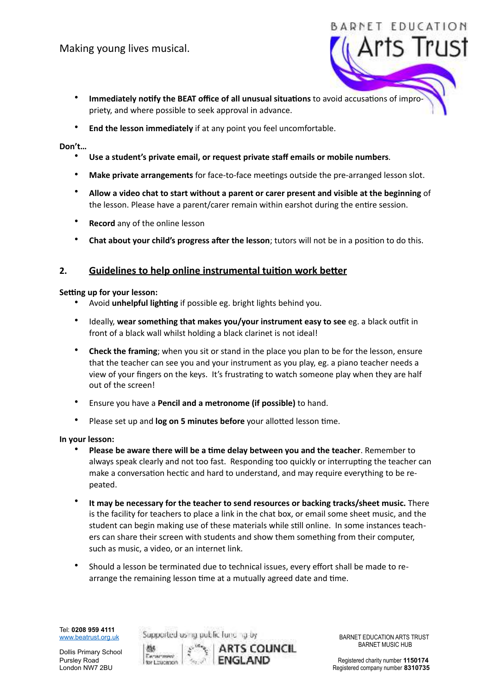\* Immediately notify the BEAT office of all unusual situations to avoid accusations of impropriety, and where possible to seek approval in advance.

 

BADNET

End the lesson immediately if at any point you feel uncomfortable.

#### Don't...

- Use a student's private email, or request private staff emails or mobile numbers.
- Make private arrangements for face-to-face meetings outside the pre-arranged lesson slot.
- \* Allow a video chat to start without a parent or carer present and visible at the beginning of the lesson. Please have a parent/carer remain within earshot during the entire session.
- **Record** any of the online lesson
- **Chat about your child's progress after the lesson**; tutors will not be in a position to do this.

## 2. Guidelines to help online instrumental tuition work better

#### **Setting up for your lesson:**

- Avoid **unhelpful lighting** if possible eg. bright lights behind you.
- Ideally, wear something that makes you/your instrument easy to see eg. a black outfit in front of a black wall whilst holding a black clarinet is not ideal!
- **Check the framing**; when you sit or stand in the place you plan to be for the lesson, ensure that the teacher can see you and your instrument as you play, eg. a piano teacher needs a view of your fingers on the keys. It's frustrating to watch someone play when they are half out of the screen!
- Ensure you have a **Pencil and a metronome (if possible)** to hand.
- Please set up and **log on 5 minutes before** your allotted lesson time.

#### **In vour lesson:**

- Please be aware there will be a time delay between you and the teacher. Remember to always speak clearly and not too fast. Responding too quickly or interrupting the teacher can make a conversation hectic and hard to understand, and may require everything to be repeated.
- It may be necessary for the teacher to send resources or backing tracks/sheet music. There is the facility for teachers to place a link in the chat box, or email some sheet music, and the student can begin making use of these materials while still online. In some instances teachers can share their screen with students and show them something from their computer, such as music, a video, or an internet link.
- Should a lesson be terminated due to technical issues, every effort shall be made to rearrange the remaining lesson time at a mutually agreed date and time.

Tel: **0208 959 4111** 

Dollis Primary School

Supported using public functing by **Example BARNET EDUCATION ARTS TRUST**<br>Using the Market BARNET MUSIC HUB



Pursley Road **Registered Charity Number 1150174**<br>
Pursley Registered company number 1150174<br>
London NW7 2BU Registered company number 8310735